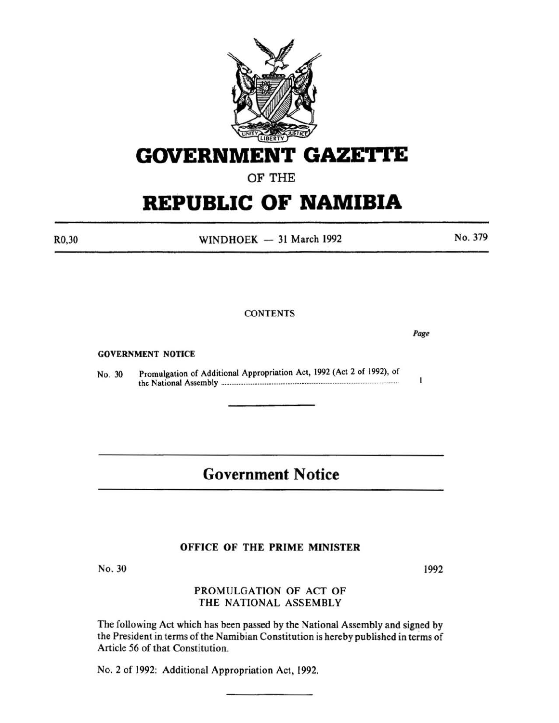

**GOVERNMENT GAZETTE** 

OF THE

# **REPUBLIC OF NAMIBIA**

R0,30

WINDHOEK  $-31$  March 1992

No. 379

**CONTENTS** 

GOVERNMENT NOTICE

No. 30 Promulgation of Additional Appropriation Act, 1992 (Act 2 of 1992), of the National Assembly .................................................................................................... ..

## **Government Notice**

#### OFFICE OF THE PRIME MINISTER

No. 30

1992

*Page* 

 $\mathbf{I}$ 

#### PROMULGATION OF ACT OF THE NATIONAL ASSEMBLY

The following Act which has been passed by the National Assembly and signed by the President in terms of the Namibian Constitution is hereby published in terms of Article 56 of that Constitution.

No.2 of 1992: Additional Appropriation Act, 1992.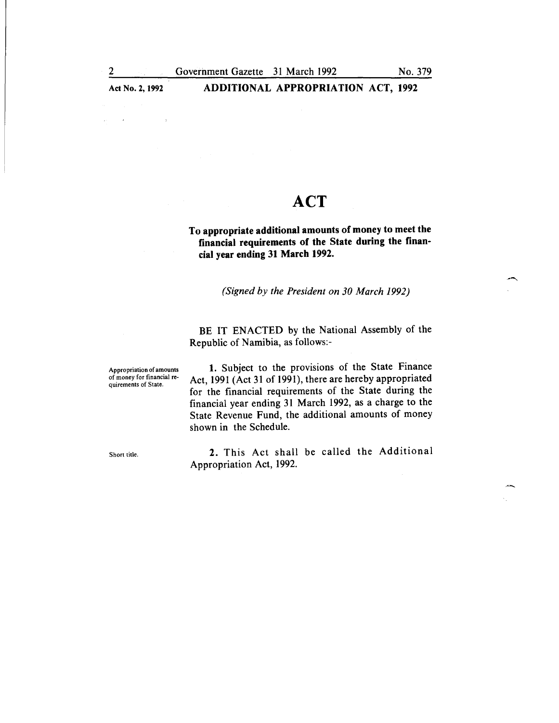#### Act No. 2, 1992 **ADDITIONAL APPROPRIATION ACT, 1992**

# **ACT**

To appropriate additional amounts of money to meet the financial requirements of the State during the financial year ending 31 March 1992.

*(Signed by the President on 30 March 1992)* 

BE IT ENACTED by the National Assembly of the Republic of Namibia, as follows:-

Appropriation of amounts of money for financial requirements of State.

1. Subject to the provisions of the State Finance Act, 1991 (Act 31 of 1991), there are hereby appropriated for the financial requirements of the State during the financial year ending 31 March 1992, as a charge to the State Revenue Fund, the additional amounts of money shown in the Schedule.

Short title.

2. This Act shall be called the Additional Appropriation Act, 1992.